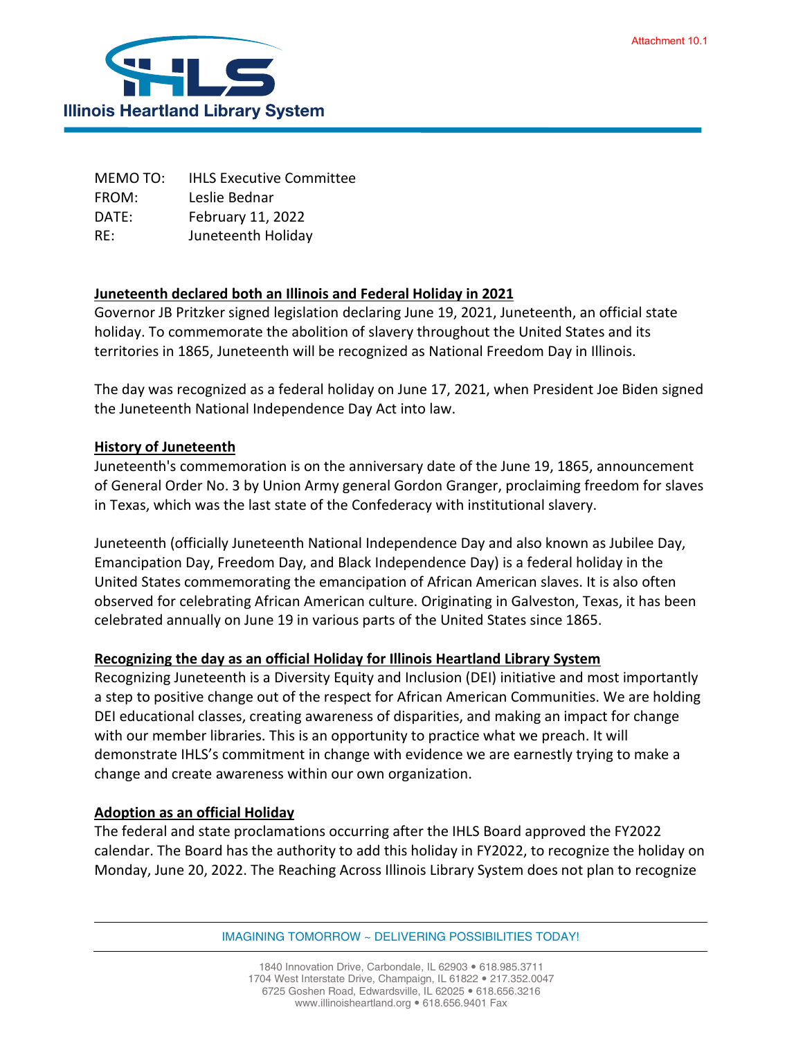

MEMO TO: IHLS Executive Committee FROM: Leslie Bednar DATE: February 11, 2022 RE: Juneteenth Holiday

## **Juneteenth declared both an Illinois and Federal Holiday in 2021**

Governor JB Pritzker signed legislation declaring June 19, 2021, Juneteenth, an official state holiday. To commemorate the abolition of slavery throughout the United States and its territories in 1865, Juneteenth will be recognized as National Freedom Day in Illinois.

The day was recognized as a federal holiday on June 17, 2021, when President Joe Biden signed the Juneteenth National Independence Day Act into law.

## **History of Juneteenth**

Juneteenth's commemoration is on the anniversary date of the June 19, 1865, announcement of General Order No. 3 by Union Army general Gordon Granger, proclaiming freedom for slaves in Texas, which was the last state of the Confederacy with institutional slavery.

Juneteenth (officially Juneteenth National Independence Day and also known as Jubilee Day, Emancipation Day, Freedom Day, and Black Independence Day) is a federal holiday in the United States commemorating the emancipation of African American slaves. It is also often observed for celebrating African American culture. Originating in Galveston, Texas, it has been celebrated annually on June 19 in various parts of the United States since 1865.

## **Recognizing the day as an official Holiday for Illinois Heartland Library System**

Recognizing Juneteenth is a Diversity Equity and Inclusion (DEI) initiative and most importantly a step to positive change out of the respect for African American Communities. We are holding DEI educational classes, creating awareness of disparities, and making an impact for change with our member libraries. This is an opportunity to practice what we preach. It will demonstrate IHLS's commitment in change with evidence we are earnestly trying to make a change and create awareness within our own organization.

## **Adoption as an official Holiday**

The federal and state proclamations occurring after the IHLS Board approved the FY2022 calendar. The Board has the authority to add this holiday in FY2022, to recognize the holiday on Monday, June 20, 2022. The Reaching Across Illinois Library System does not plan to recognize